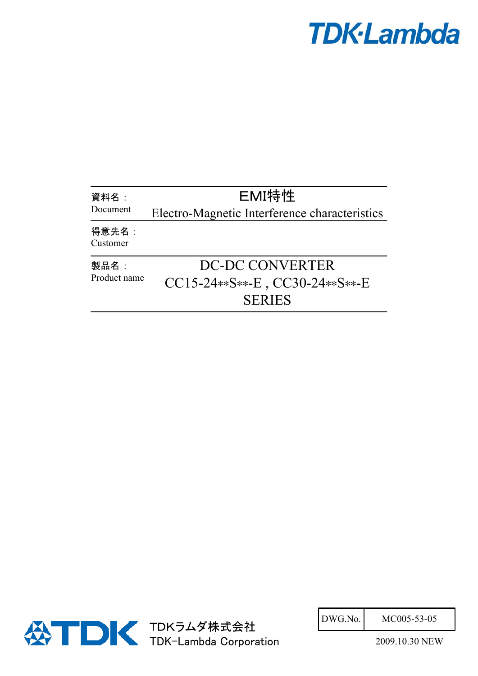## **TDK-Lambda**

| 資料名:<br>Document     | EMI特性                                                                     |
|----------------------|---------------------------------------------------------------------------|
|                      | Electro-Magnetic Interference characteristics                             |
| 得意先名:<br>Customer    |                                                                           |
| 製品名:<br>Product name | DC-DC CONVERTER<br>$CC15-24**S***-E$ , $CC30-24**S***-E$<br><b>SERIES</b> |



| DWG.No. | MC005-53-05 |
|---------|-------------|
|         |             |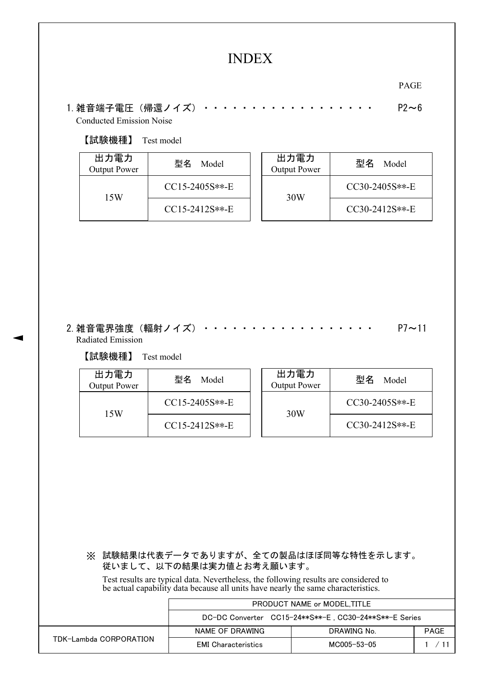## INDEX

PAGE

1.雑音端子電圧(帰還ノイズ)・・・・・・・・・・・・・・・・・・ P2~6 Conducted Emission Noise

## 【試験機種】 Test model

| 出力電力<br>Output Power | 型名<br>Model      | 出力電力<br>Output Power | 型名<br>Model      |
|----------------------|------------------|----------------------|------------------|
| 15W                  | $CC15-2405S**-E$ | 30W                  | $CC30-2405S**-E$ |
|                      | $CC15-2412S**-E$ |                      | $CC30-2412S**-E$ |

2.雑音電界強度(輻射ノイズ)・・・・・・・・・・・・・・・・・・ P7~11 Radiated Emission

## 【試験機種】 Test model

| 出力電力<br>Output Power | 型名<br>Model      | 出力電力<br>Output Power | 型名<br>Model      |
|----------------------|------------------|----------------------|------------------|
| 15W                  | $CC15-2405S**-E$ | 30W                  | $CC30-2405S**-E$ |
|                      | $CC15-2412S**-E$ |                      | $CC30-2412S**-E$ |

※ 試験結果は代表データでありますが、全ての製品はほぼ同等な特性を示します。 従いまして、以下の結果は実力値とお考え願います。

Test results are typical data. Nevertheless, the following results are considered to be actual capability data because all units have nearly the same characteristics.

|                        | PRODUCT NAME or MODEL.TITLE                           |             |             |  |  |  |  |
|------------------------|-------------------------------------------------------|-------------|-------------|--|--|--|--|
|                        | DC-DC Converter CC15-24**S**-E, CC30-24**S**-E Series |             |             |  |  |  |  |
|                        | NAME OF DRAWING                                       | DRAWING No. | <b>PAGE</b> |  |  |  |  |
| TDK-Lambda CORPORATION | <b>EMI</b> Characteristics                            | MC005-53-05 | 1 / 11      |  |  |  |  |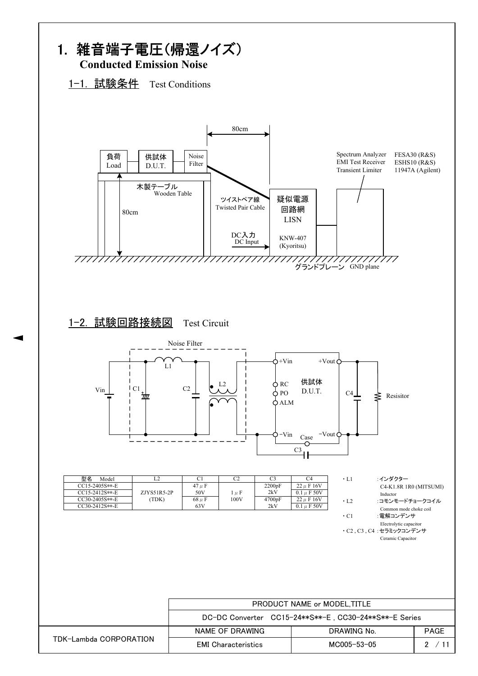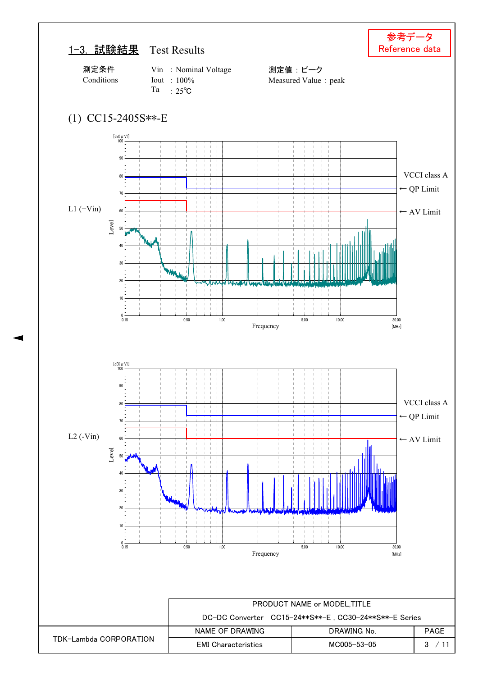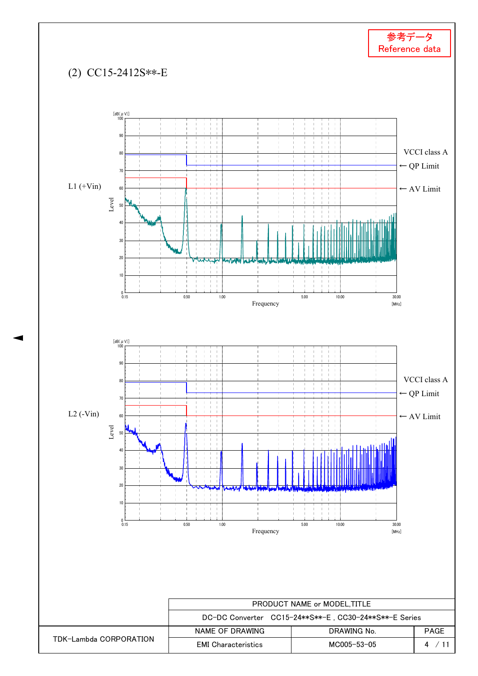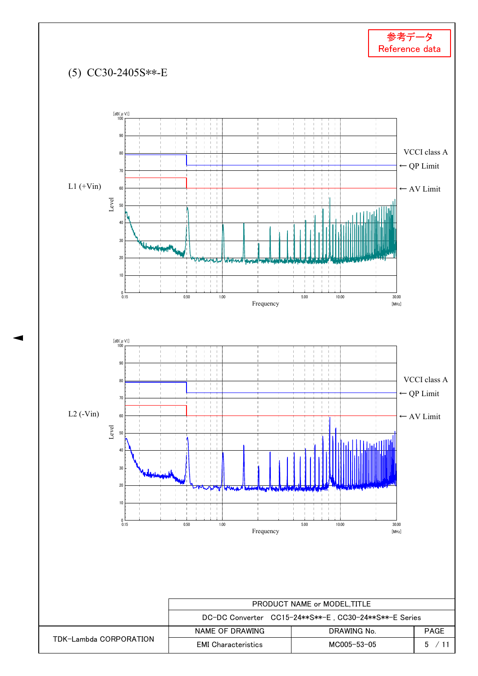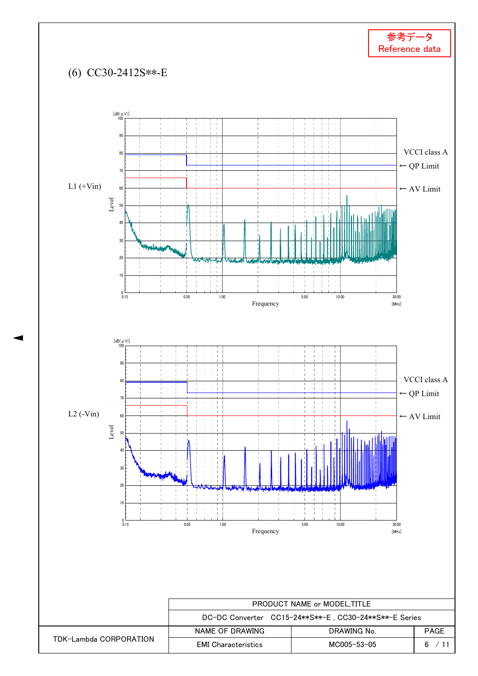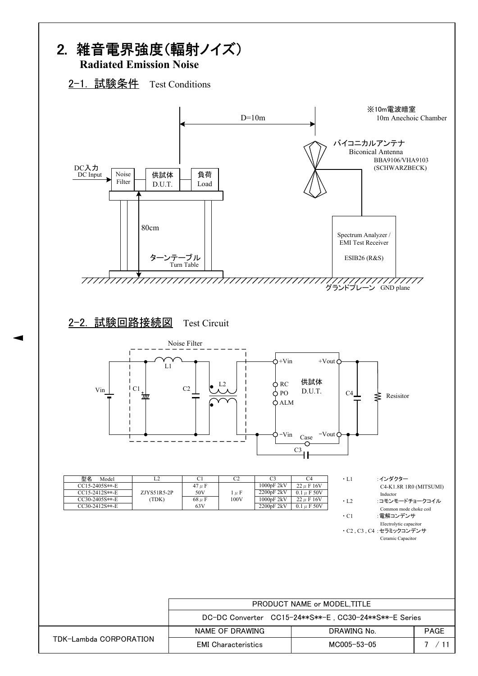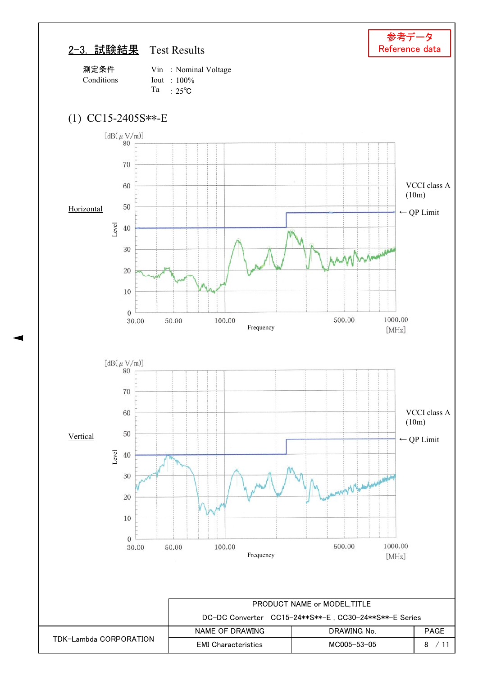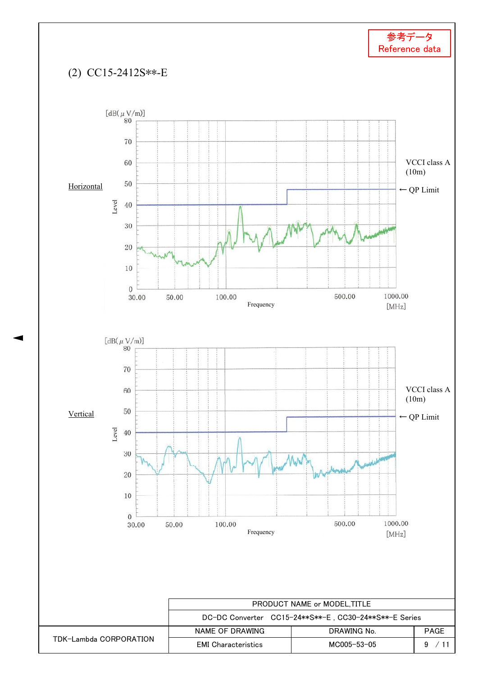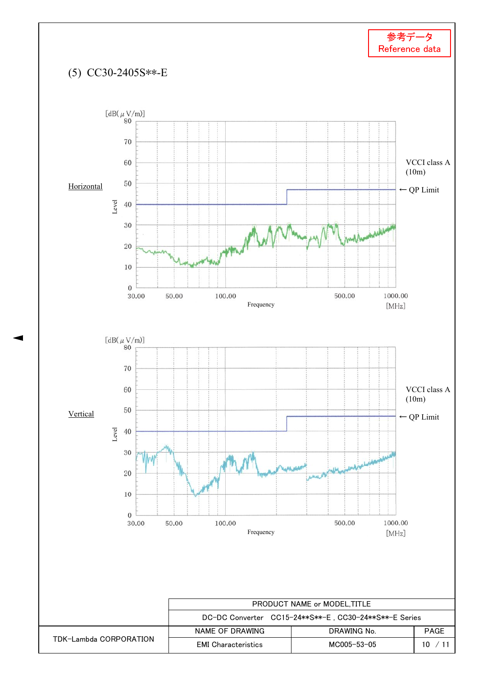